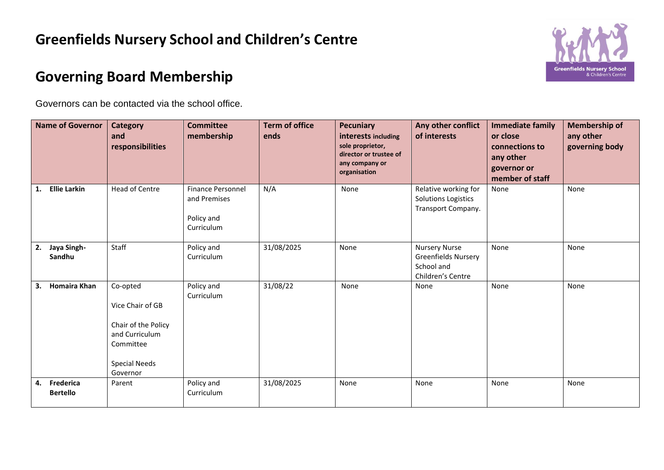## **Greenfields Nursery School and Children's Centre**



## **Governing Board Membership**

Governors can be contacted via the school office.

|    | <b>Name of Governor</b>      | <b>Category</b><br>and<br>responsibilities                                                                             | <b>Committee</b><br>membership                                       | <b>Term of office</b><br>ends | <b>Pecuniary</b><br>interests including<br>sole proprietor,<br>director or trustee of<br>any company or<br>organisation | Any other conflict<br>of interests                                                    | <b>Immediate family</b><br>or close<br>connections to<br>any other<br>governor or<br>member of staff | <b>Membership of</b><br>any other<br>governing body |
|----|------------------------------|------------------------------------------------------------------------------------------------------------------------|----------------------------------------------------------------------|-------------------------------|-------------------------------------------------------------------------------------------------------------------------|---------------------------------------------------------------------------------------|------------------------------------------------------------------------------------------------------|-----------------------------------------------------|
| 1. | <b>Ellie Larkin</b>          | <b>Head of Centre</b>                                                                                                  | <b>Finance Personnel</b><br>and Premises<br>Policy and<br>Curriculum | N/A                           | None                                                                                                                    | Relative working for<br><b>Solutions Logistics</b><br>Transport Company.              | None                                                                                                 | None                                                |
| 2. | Jaya Singh-<br>Sandhu        | Staff                                                                                                                  | Policy and<br>Curriculum                                             | 31/08/2025                    | None                                                                                                                    | <b>Nursery Nurse</b><br><b>Greenfields Nursery</b><br>School and<br>Children's Centre | None                                                                                                 | None                                                |
| 3. | Homaira Khan                 | Co-opted<br>Vice Chair of GB<br>Chair of the Policy<br>and Curriculum<br>Committee<br><b>Special Needs</b><br>Governor | Policy and<br>Curriculum                                             | 31/08/22                      | None                                                                                                                    | None                                                                                  | None                                                                                                 | None                                                |
| 4. | Frederica<br><b>Bertello</b> | Parent                                                                                                                 | Policy and<br>Curriculum                                             | 31/08/2025                    | None                                                                                                                    | None                                                                                  | None                                                                                                 | None                                                |